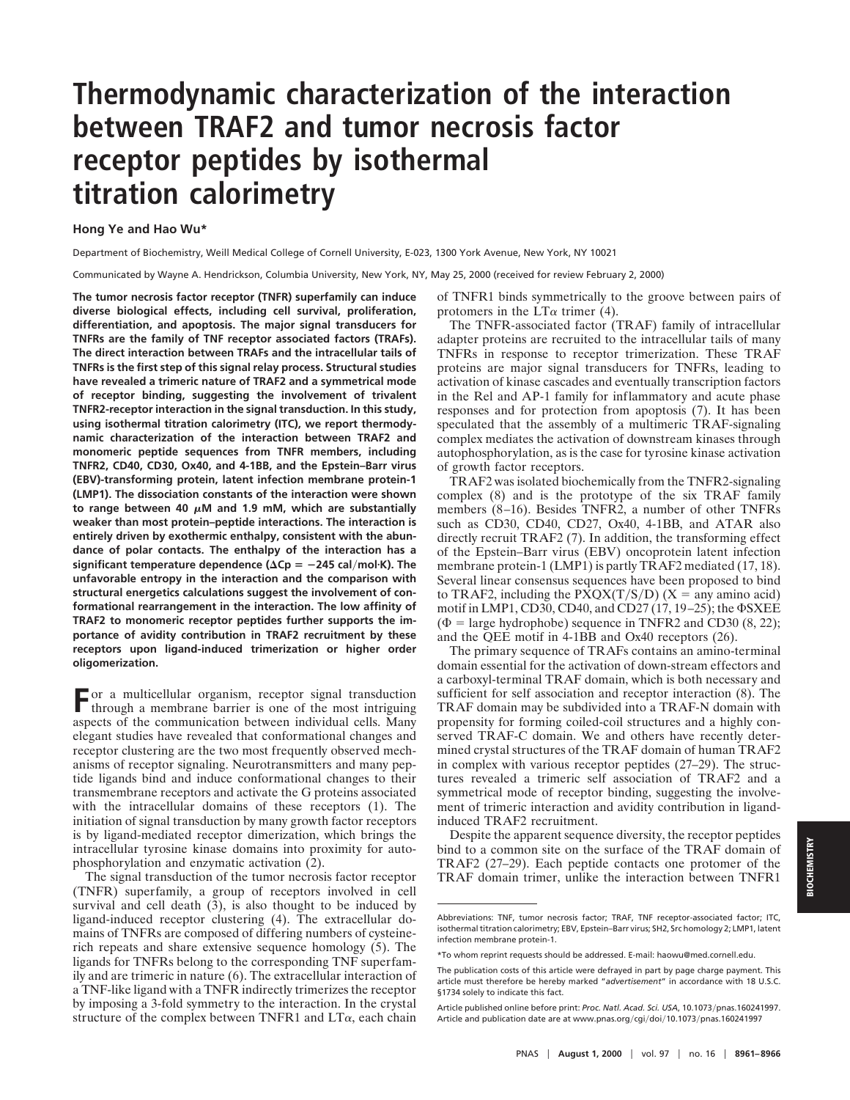## **Thermodynamic characterization of the interaction between TRAF2 and tumor necrosis factor receptor peptides by isothermal titration calorimetry**

## **Hong Ye and Hao Wu\***

Department of Biochemistry, Weill Medical College of Cornell University, E-023, 1300 York Avenue, New York, NY 10021

Communicated by Wayne A. Hendrickson, Columbia University, New York, NY, May 25, 2000 (received for review February 2, 2000)

**The tumor necrosis factor receptor (TNFR) superfamily can induce diverse biological effects, including cell survival, proliferation, differentiation, and apoptosis. The major signal transducers for TNFRs are the family of TNF receptor associated factors (TRAFs). The direct interaction between TRAFs and the intracellular tails of TNFRs is the first step of this signal relay process. Structural studies have revealed a trimeric nature of TRAF2 and a symmetrical mode of receptor binding, suggesting the involvement of trivalent TNFR2-receptor interaction in the signal transduction. In this study, using isothermal titration calorimetry (ITC), we report thermodynamic characterization of the interaction between TRAF2 and monomeric peptide sequences from TNFR members, including TNFR2, CD40, CD30, Ox40, and 4-1BB, and the Epstein–Barr virus (EBV)-transforming protein, latent infection membrane protein-1 (LMP1). The dissociation constants of the interaction were shown** to range between 40  $\mu$ M and 1.9 mM, which are substantially **weaker than most protein–peptide interactions. The interaction is entirely driven by exothermic enthalpy, consistent with the abundance of polar contacts. The enthalpy of the interaction has a significant temperature dependence (** $\Delta$ **Cp** =  $-245$  cal/mol·K). The **unfavorable entropy in the interaction and the comparison with structural energetics calculations suggest the involvement of conformational rearrangement in the interaction. The low affinity of TRAF2 to monomeric receptor peptides further supports the importance of avidity contribution in TRAF2 recruitment by these receptors upon ligand-induced trimerization or higher order oligomerization.**

**F**or a multicellular organism, receptor signal transduction through a membrane barrier is one of the most intriguing aspects of the communication between individual cells. Many elegant studies have revealed that conformational changes and receptor clustering are the two most frequently observed mechanisms of receptor signaling. Neurotransmitters and many peptide ligands bind and induce conformational changes to their transmembrane receptors and activate the G proteins associated with the intracellular domains of these receptors (1). The initiation of signal transduction by many growth factor receptors is by ligand-mediated receptor dimerization, which brings the intracellular tyrosine kinase domains into proximity for autophosphorylation and enzymatic activation (2).

The signal transduction of the tumor necrosis factor receptor (TNFR) superfamily, a group of receptors involved in cell survival and cell death (3), is also thought to be induced by ligand-induced receptor clustering (4). The extracellular domains of TNFRs are composed of differing numbers of cysteinerich repeats and share extensive sequence homology (5). The ligands for TNFRs belong to the corresponding TNF superfamily and are trimeric in nature (6). The extracellular interaction of a TNF-like ligand with a TNFR indirectly trimerizes the receptor by imposing a 3-fold symmetry to the interaction. In the crystal structure of the complex between TNFR1 and  $LT\alpha$ , each chain of TNFR1 binds symmetrically to the groove between pairs of protomers in the  $LT\alpha$  trimer (4).

The TNFR-associated factor (TRAF) family of intracellular adapter proteins are recruited to the intracellular tails of many TNFRs in response to receptor trimerization. These TRAF proteins are major signal transducers for TNFRs, leading to activation of kinase cascades and eventually transcription factors in the Rel and AP-1 family for inflammatory and acute phase responses and for protection from apoptosis (7). It has been speculated that the assembly of a multimeric TRAF-signaling complex mediates the activation of downstream kinases through autophosphorylation, as is the case for tyrosine kinase activation of growth factor receptors.

TRAF2 was isolated biochemically from the TNFR2-signaling complex (8) and is the prototype of the six TRAF family members (8–16). Besides TNFR2, a number of other TNFRs such as CD30, CD40, CD27, Ox40, 4-1BB, and ATAR also directly recruit TRAF2 (7). In addition, the transforming effect of the Epstein–Barr virus (EBV) oncoprotein latent infection membrane protein-1 (LMP1) is partly TRAF2 mediated (17, 18). Several linear consensus sequences have been proposed to bind to TRAF2, including the  $PXQX(T/S/D)$  (X = any amino acid) motif in LMP1, CD30, CD40, and CD27 (17, 19–25); the  $\Phi$ SXEE  $(\Phi = \text{large hydrophobe})$  sequence in TNFR2 and CD30 (8, 22); and the QEE motif in 4-1BB and Ox40 receptors (26).

The primary sequence of TRAFs contains an amino-terminal domain essential for the activation of down-stream effectors and a carboxyl-terminal TRAF domain, which is both necessary and sufficient for self association and receptor interaction (8). The TRAF domain may be subdivided into a TRAF-N domain with propensity for forming coiled-coil structures and a highly conserved TRAF-C domain. We and others have recently determined crystal structures of the TRAF domain of human TRAF2 in complex with various receptor peptides (27–29). The structures revealed a trimeric self association of TRAF2 and a symmetrical mode of receptor binding, suggesting the involvement of trimeric interaction and avidity contribution in ligandinduced TRAF2 recruitment.

Despite the apparent sequence diversity, the receptor peptides bind to a common site on the surface of the TRAF domain of TRAF2 (27–29). Each peptide contacts one protomer of the TRAF domain trimer, unlike the interaction between TNFR1

**SIOCHEMISTRY BIOCHEMISTRY**

Abbreviations: TNF, tumor necrosis factor; TRAF, TNF receptor-associated factor; ITC, isothermal titration calorimetry; EBV, Epstein–Barr virus; SH2, Src homology 2; LMP1, latent infection membrane protein-1.

<sup>\*</sup>To whom reprint requests should be addressed. E-mail: haowu@med.cornell.edu.

The publication costs of this article were defrayed in part by page charge payment. This article must therefore be hereby marked "*advertisement*" in accordance with 18 U.S.C. §1734 solely to indicate this fact.

Article published online before print: Proc. Natl. Acad. Sci. USA, 10.1073/pnas.160241997. Article and publication date are at www.pnas.org/cgi/doi/10.1073/pnas.160241997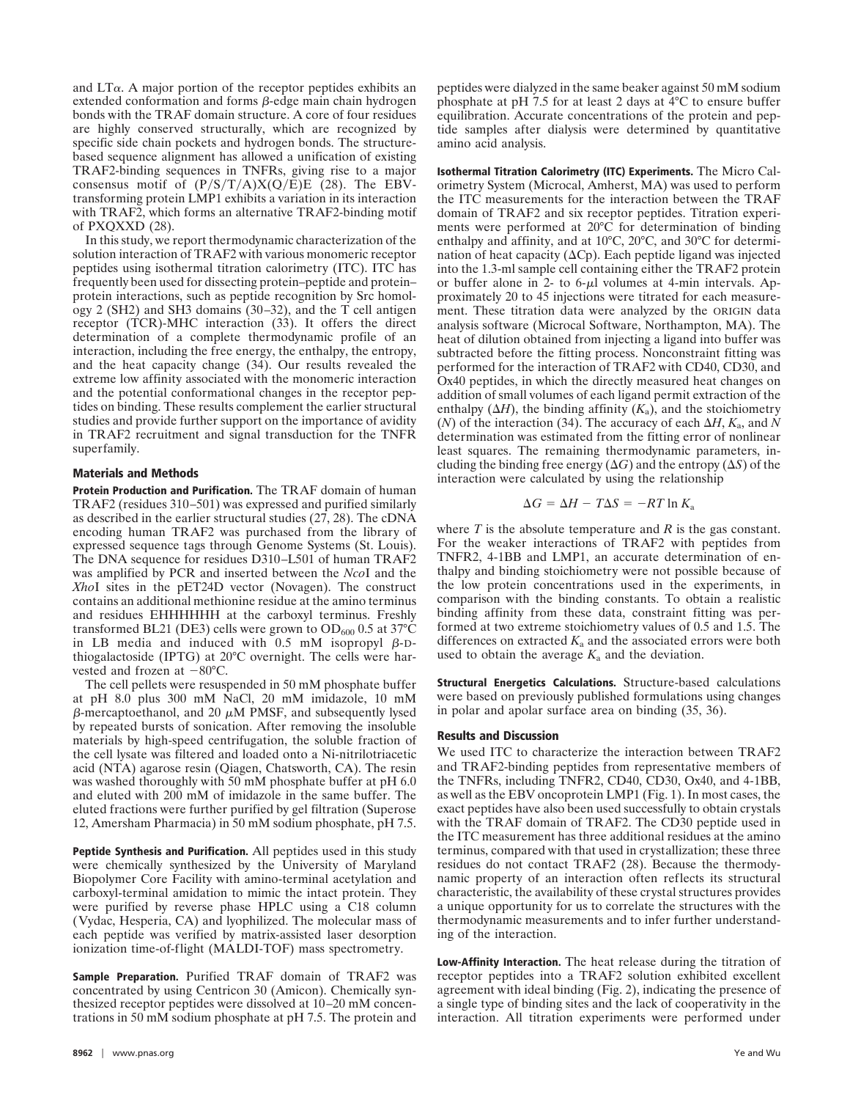and  $LT\alpha$ . A major portion of the receptor peptides exhibits an extended conformation and forms  $\beta$ -edge main chain hydrogen bonds with the TRAF domain structure. A core of four residues are highly conserved structurally, which are recognized by specific side chain pockets and hydrogen bonds. The structurebased sequence alignment has allowed a unification of existing TRAF2-binding sequences in TNFRs, giving rise to a major consensus motif of  $(P/S/T/A)X(Q/E)E$  (28). The EBVtransforming protein LMP1 exhibits a variation in its interaction with TRAF2, which forms an alternative TRAF2-binding motif of PXQXXD (28).

In this study, we report thermodynamic characterization of the solution interaction of TRAF2 with various monomeric receptor peptides using isothermal titration calorimetry (ITC). ITC has frequently been used for dissecting protein–peptide and protein– protein interactions, such as peptide recognition by Src homology 2 (SH2) and SH3 domains (30–32), and the T cell antigen receptor (TCR)-MHC interaction (33). It offers the direct determination of a complete thermodynamic profile of an interaction, including the free energy, the enthalpy, the entropy, and the heat capacity change (34). Our results revealed the extreme low affinity associated with the monomeric interaction and the potential conformational changes in the receptor peptides on binding. These results complement the earlier structural studies and provide further support on the importance of avidity in TRAF2 recruitment and signal transduction for the TNFR superfamily.

## **Materials and Methods**

**Protein Production and Purification.** The TRAF domain of human TRAF2 (residues 310–501) was expressed and purified similarly as described in the earlier structural studies (27, 28). The cDNA encoding human TRAF2 was purchased from the library of expressed sequence tags through Genome Systems (St. Louis). The DNA sequence for residues D310–L501 of human TRAF2 was amplified by PCR and inserted between the *Nco*I and the *Xho*I sites in the pET24D vector (Novagen). The construct contains an additional methionine residue at the amino terminus and residues EHHHHHH at the carboxyl terminus. Freshly transformed BL21 (DE3) cells were grown to  $OD_{600}$  0.5 at 37°C in LB media and induced with  $0.5$  mM isopropyl  $\beta$ -Dthiogalactoside (IPTG) at 20°C overnight. The cells were harvested and frozen at  $-80^{\circ}$ C.

The cell pellets were resuspended in 50 mM phosphate buffer at pH 8.0 plus 300 mM NaCl, 20 mM imidazole, 10 mM  $\beta$ -mercaptoethanol, and 20  $\mu$ M PMSF, and subsequently lysed by repeated bursts of sonication. After removing the insoluble materials by high-speed centrifugation, the soluble fraction of the cell lysate was filtered and loaded onto a Ni-nitrilotriacetic acid (NTA) agarose resin (Qiagen, Chatsworth, CA). The resin was washed thoroughly with 50 mM phosphate buffer at pH 6.0 and eluted with 200 mM of imidazole in the same buffer. The eluted fractions were further purified by gel filtration (Superose 12, Amersham Pharmacia) in 50 mM sodium phosphate, pH 7.5.

**Peptide Synthesis and Purification.** All peptides used in this study were chemically synthesized by the University of Maryland Biopolymer Core Facility with amino-terminal acetylation and carboxyl-terminal amidation to mimic the intact protein. They were purified by reverse phase HPLC using a C18 column (Vydac, Hesperia, CA) and lyophilized. The molecular mass of each peptide was verified by matrix-assisted laser desorption ionization time-of-flight (MALDI-TOF) mass spectrometry.

**Sample Preparation.** Purified TRAF domain of TRAF2 was concentrated by using Centricon 30 (Amicon). Chemically synthesized receptor peptides were dissolved at 10–20 mM concentrations in 50 mM sodium phosphate at pH 7.5. The protein and

peptides were dialyzed in the same beaker against 50 mM sodium phosphate at pH 7.5 for at least 2 days at 4°C to ensure buffer equilibration. Accurate concentrations of the protein and peptide samples after dialysis were determined by quantitative amino acid analysis.

**Isothermal Titration Calorimetry (ITC) Experiments.** The Micro Calorimetry System (Microcal, Amherst, MA) was used to perform the ITC measurements for the interaction between the TRAF domain of TRAF2 and six receptor peptides. Titration experiments were performed at 20°C for determination of binding enthalpy and affinity, and at 10°C, 20°C, and 30°C for determination of heat capacity ( $\Delta C$ p). Each peptide ligand was injected into the 1.3-ml sample cell containing either the TRAF2 protein or buffer alone in  $2$ - to 6- $\mu$ l volumes at 4-min intervals. Approximately 20 to 45 injections were titrated for each measurement. These titration data were analyzed by the ORIGIN data analysis software (Microcal Software, Northampton, MA). The heat of dilution obtained from injecting a ligand into buffer was subtracted before the fitting process. Nonconstraint fitting was performed for the interaction of TRAF2 with CD40, CD30, and Ox40 peptides, in which the directly measured heat changes on addition of small volumes of each ligand permit extraction of the enthalpy  $(\Delta H)$ , the binding affinity  $(K_a)$ , and the stoichiometry (*N*) of the interaction (34). The accuracy of each  $\Delta H$ ,  $K_a$ , and *N* determination was estimated from the fitting error of nonlinear least squares. The remaining thermodynamic parameters, including the binding free energy  $(\Delta G)$  and the entropy  $(\Delta S)$  of the interaction were calculated by using the relationship

$$
\Delta G = \Delta H - T\Delta S = -RT \ln K_{\rm a}
$$

where *T* is the absolute temperature and *R* is the gas constant. For the weaker interactions of TRAF2 with peptides from TNFR2, 4-1BB and LMP1, an accurate determination of enthalpy and binding stoichiometry were not possible because of the low protein concentrations used in the experiments, in comparison with the binding constants. To obtain a realistic binding affinity from these data, constraint fitting was performed at two extreme stoichiometry values of 0.5 and 1.5. The differences on extracted  $K_a$  and the associated errors were both used to obtain the average  $K_a$  and the deviation.

**Structural Energetics Calculations.** Structure-based calculations were based on previously published formulations using changes in polar and apolar surface area on binding (35, 36).

## **Results and Discussion**

We used ITC to characterize the interaction between TRAF2 and TRAF2-binding peptides from representative members of the TNFRs, including TNFR2, CD40, CD30, Ox40, and 4-1BB, as well as the EBV oncoprotein LMP1 (Fig. 1). In most cases, the exact peptides have also been used successfully to obtain crystals with the TRAF domain of TRAF2. The CD30 peptide used in the ITC measurement has three additional residues at the amino terminus, compared with that used in crystallization; these three residues do not contact TRAF2 (28). Because the thermodynamic property of an interaction often reflects its structural characteristic, the availability of these crystal structures provides a unique opportunity for us to correlate the structures with the thermodynamic measurements and to infer further understanding of the interaction.

**Low-Affinity Interaction.** The heat release during the titration of receptor peptides into a TRAF2 solution exhibited excellent agreement with ideal binding (Fig. 2), indicating the presence of a single type of binding sites and the lack of cooperativity in the interaction. All titration experiments were performed under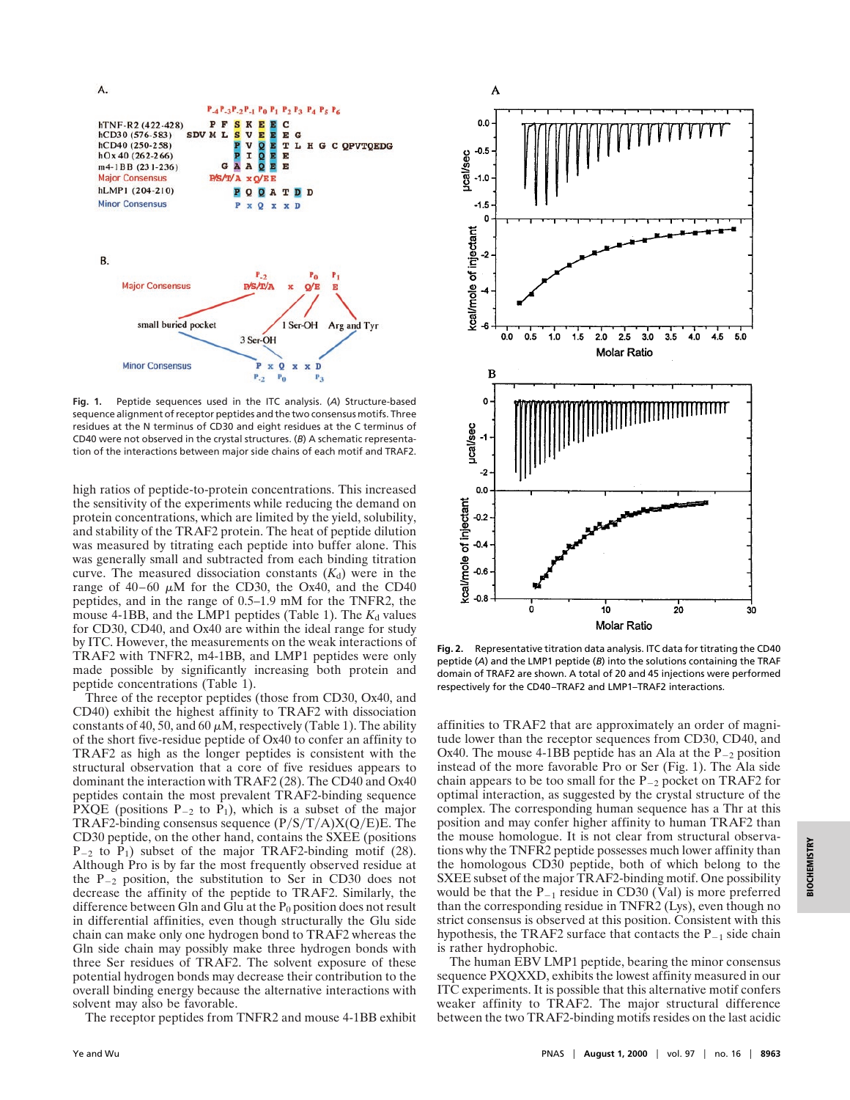A.  $P_{-4}P_{-3}P_{-2}P_{-1}P_0P_1P_2P_3P_4P_5P_6$ PFSKEEC<br>MLSVEEE<br>PVOET<br>PIOEE<br>GAAQEE hTNF-R2 (422-428) SDV ML  $hCD30(576-583)$ G  $hCD40(250-258)$ L H G C OPVTOEDG  $hOx 40(262-266)$ m4-1BB (231-236) **Major Consensus** PS/T/A x O/EE hLMP1 (204-210) **PQQATDD Minor Consensus** P x Q x x D B.  $_{\rm P_0}$ **Major Consensus**  $P/S/T/A$  $Q/E$ small buried pocket 1 Ser-OH Arg and Tyr 3 Ser-OH **Minor Consensus**  $\mathbf{x}$  $\Omega$ D x x  $P_{-2}$  $P_0$  $P_3$ 

**Fig. 1.** Peptide sequences used in the ITC analysis. (*A*) Structure-based sequence alignment of receptor peptides and the two consensus motifs. Three residues at the N terminus of CD30 and eight residues at the C terminus of CD40 were not observed in the crystal structures. (*B*) A schematic representation of the interactions between major side chains of each motif and TRAF2.

high ratios of peptide-to-protein concentrations. This increased the sensitivity of the experiments while reducing the demand on protein concentrations, which are limited by the yield, solubility, and stability of the TRAF2 protein. The heat of peptide dilution was measured by titrating each peptide into buffer alone. This was generally small and subtracted from each binding titration curve. The measured dissociation constants  $(K_d)$  were in the range of  $40-60 \mu M$  for the CD30, the Ox40, and the CD40 peptides, and in the range of 0.5–1.9 mM for the TNFR2, the mouse 4-1BB, and the LMP1 peptides (Table 1). The  $K_d$  values for CD30, CD40, and Ox40 are within the ideal range for study by ITC. However, the measurements on the weak interactions of TRAF2 with TNFR2, m4-1BB, and LMP1 peptides were only made possible by significantly increasing both protein and peptide concentrations (Table 1).

Three of the receptor peptides (those from CD30, Ox40, and CD40) exhibit the highest affinity to TRAF2 with dissociation constants of 40, 50, and 60  $\mu$ M, respectively (Table 1). The ability of the short five-residue peptide of Ox40 to confer an affinity to TRAF2 as high as the longer peptides is consistent with the structural observation that a core of five residues appears to dominant the interaction with TRAF2 (28). The CD40 and Ox40 peptides contain the most prevalent TRAF2-binding sequence PXQE (positions  $P_{-2}$  to  $P_1$ ), which is a subset of the major TRAF2-binding consensus sequence  $(P/S/T/A)X(O/E)E$ . The CD30 peptide, on the other hand, contains the SXEE (positions  $P_{-2}$  to  $P_1$ ) subset of the major TRAF2-binding motif (28). Although Pro is by far the most frequently observed residue at the  $P_{-2}$  position, the substitution to Ser in CD30 does not decrease the affinity of the peptide to TRAF2. Similarly, the difference between Gln and Glu at the  $P_0$  position does not result in differential affinities, even though structurally the Glu side chain can make only one hydrogen bond to TRAF2 whereas the Gln side chain may possibly make three hydrogen bonds with three Ser residues of TRAF2. The solvent exposure of these potential hydrogen bonds may decrease their contribution to the overall binding energy because the alternative interactions with solvent may also be favorable.

The receptor peptides from TNFR2 and mouse 4-1BB exhibit



A

**Fig. 2.** Representative titration data analysis. ITC data for titrating the CD40 peptide (*A*) and the LMP1 peptide (*B*) into the solutions containing the TRAF domain of TRAF2 are shown. A total of 20 and 45 injections were performed respectively for the CD40–TRAF2 and LMP1–TRAF2 interactions.

affinities to TRAF2 that are approximately an order of magnitude lower than the receptor sequences from CD30, CD40, and Ox40. The mouse 4-1BB peptide has an Ala at the  $P_{-2}$  position instead of the more favorable Pro or Ser (Fig. 1). The Ala side chain appears to be too small for the  $P_{-2}$  pocket on TRAF2 for optimal interaction, as suggested by the crystal structure of the complex. The corresponding human sequence has a Thr at this position and may confer higher affinity to human TRAF2 than the mouse homologue. It is not clear from structural observations why the TNFR2 peptide possesses much lower affinity than the homologous CD30 peptide, both of which belong to the SXEE subset of the major TRAF2-binding motif. One possibility would be that the  $P_{-1}$  residue in CD30 (Val) is more preferred than the corresponding residue in TNFR2 (Lys), even though no strict consensus is observed at this position. Consistent with this hypothesis, the TRAF2 surface that contacts the  $P_{-1}$  side chain is rather hydrophobic.

The human EBV LMP1 peptide, bearing the minor consensus sequence PXQXXD, exhibits the lowest affinity measured in our ITC experiments. It is possible that this alternative motif confers weaker affinity to TRAF2. The major structural difference between the two TRAF2-binding motifs resides on the last acidic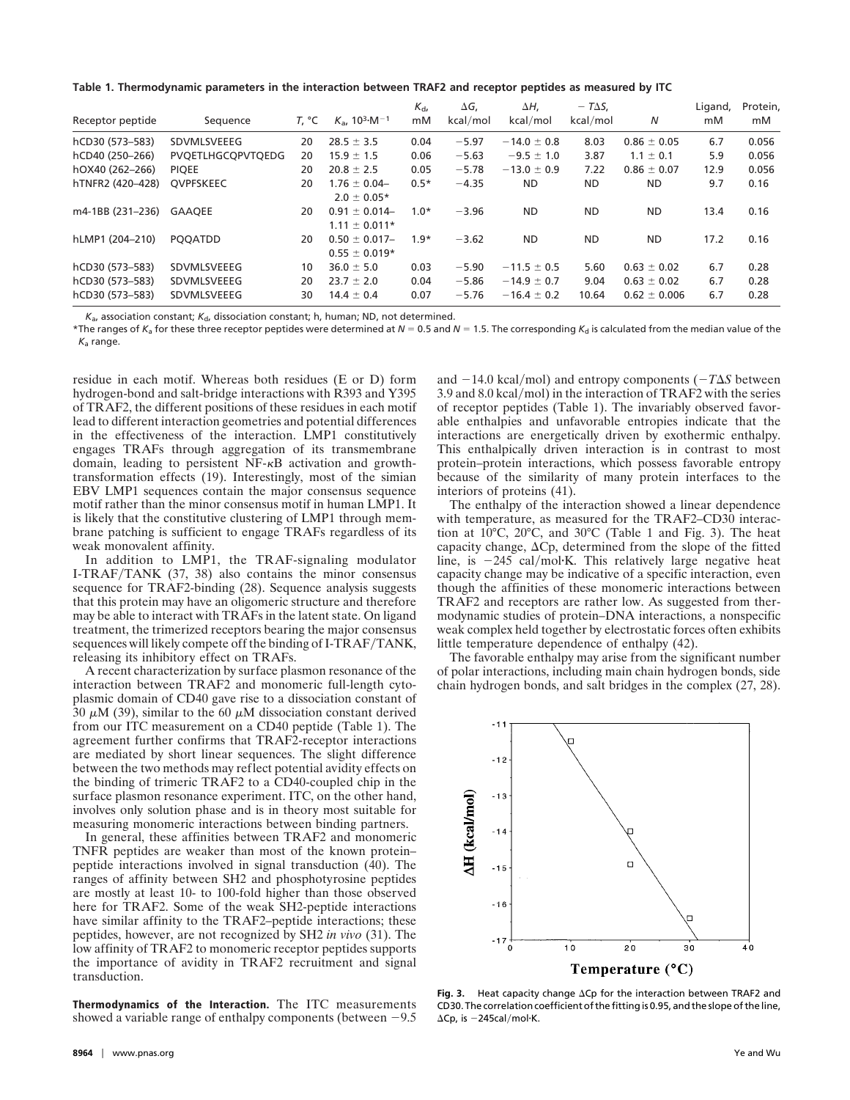**Table 1. Thermodynamic parameters in the interaction between TRAF2 and receptor peptides as measured by ITC**

| Receptor peptide | Sequence          | T, °C | $K_a$ , 10 <sup>3</sup> $\cdot$ M <sup>-1</sup> | $K_{\rm dr}$<br>mM | $\Delta G$ ,<br>kcal/mol | ΔH,<br>kcal/mol | $-T\Delta S$ ,<br>kcal/mol | N                | Ligand,<br>mM | Protein,<br>mM |
|------------------|-------------------|-------|-------------------------------------------------|--------------------|--------------------------|-----------------|----------------------------|------------------|---------------|----------------|
| hCD30 (573-583)  | SDVMLSVEEEG       | 20    | $28.5 \pm 3.5$                                  | 0.04               | $-5.97$                  | $-14.0 \pm 0.8$ | 8.03                       | $0.86 \pm 0.05$  | 6.7           | 0.056          |
| hCD40 (250-266)  | PVQETLHGCQPVTQEDG | 20    | $15.9 \pm 1.5$                                  | 0.06               | $-5.63$                  | $-9.5 \pm 1.0$  | 3.87                       | $1.1 \pm 0.1$    | 5.9           | 0.056          |
| hOX40 (262-266)  | <b>PIOEE</b>      | 20    | $20.8 \pm 2.5$                                  | 0.05               | $-5.78$                  | $-13.0 \pm 0.9$ | 7.22                       | $0.86 \pm 0.07$  | 12.9          | 0.056          |
| hTNFR2 (420-428) | <b>OVPFSKEEC</b>  | 20    | $1.76 \pm 0.04 -$<br>$2.0 \pm 0.05*$            | $0.5*$             | $-4.35$                  | ND.             | ND.                        | ND.              | 9.7           | 0.16           |
| m4-1BB (231-236) | <b>GAAOEE</b>     | 20    | $0.91 \pm 0.014 -$<br>$1.11 \pm 0.011*$         | $1.0*$             | $-3.96$                  | <b>ND</b>       | <b>ND</b>                  | <b>ND</b>        | 13.4          | 0.16           |
| hLMP1 (204-210)  | <b>POOATDD</b>    | 20    | $0.50 \pm 0.017$ -<br>$0.55 \pm 0.019*$         | $1.9*$             | $-3.62$                  | <b>ND</b>       | <b>ND</b>                  | <b>ND</b>        | 17.2          | 0.16           |
| hCD30 (573-583)  | SDVMLSVEEEG       | 10    | $36.0 \pm 5.0$                                  | 0.03               | $-5.90$                  | $-11.5 \pm 0.5$ | 5.60                       | $0.63 \pm 0.02$  | 6.7           | 0.28           |
| hCD30 (573-583)  | SDVMLSVEEEG       | 20    | $23.7 \pm 2.0$                                  | 0.04               | $-5.86$                  | $-14.9 \pm 0.7$ | 9.04                       | $0.63 \pm 0.02$  | 6.7           | 0.28           |
| hCD30 (573-583)  | SDVMLSVEEEG       | 30    | $14.4 \pm 0.4$                                  | 0.07               | $-5.76$                  | $-16.4 \pm 0.2$ | 10.64                      | $0.62 \pm 0.006$ | 6.7           | 0.28           |

 $K_{a}$ , association constant;  $K_{d}$ , dissociation constant; h, human; ND, not determined.

 $*$ The ranges of  $K_a$  for these three receptor peptides were determined at  $N = 0.5$  and  $N = 1.5$ . The corresponding  $K_d$  is calculated from the median value of the  $K_a$  range.

residue in each motif. Whereas both residues (E or D) form hydrogen-bond and salt-bridge interactions with R393 and Y395 of TRAF2, the different positions of these residues in each motif lead to different interaction geometries and potential differences in the effectiveness of the interaction. LMP1 constitutively engages TRAFs through aggregation of its transmembrane domain, leading to persistent NF-kB activation and growthtransformation effects (19). Interestingly, most of the simian EBV LMP1 sequences contain the major consensus sequence motif rather than the minor consensus motif in human LMP1. It is likely that the constitutive clustering of LMP1 through membrane patching is sufficient to engage TRAFs regardless of its weak monovalent affinity.

In addition to LMP1, the TRAF-signaling modulator I-TRAF/TANK (37, 38) also contains the minor consensus sequence for TRAF2-binding (28). Sequence analysis suggests that this protein may have an oligomeric structure and therefore may be able to interact with TRAFs in the latent state. On ligand treatment, the trimerized receptors bearing the major consensus sequences will likely compete off the binding of I-TRAF/TANK, releasing its inhibitory effect on TRAFs.

A recent characterization by surface plasmon resonance of the interaction between TRAF2 and monomeric full-length cytoplasmic domain of CD40 gave rise to a dissociation constant of 30  $\mu$ M (39), similar to the 60  $\mu$ M dissociation constant derived from our ITC measurement on a CD40 peptide (Table 1). The agreement further confirms that TRAF2-receptor interactions are mediated by short linear sequences. The slight difference between the two methods may reflect potential avidity effects on the binding of trimeric TRAF2 to a CD40-coupled chip in the surface plasmon resonance experiment. ITC, on the other hand, involves only solution phase and is in theory most suitable for measuring monomeric interactions between binding partners.

In general, these affinities between TRAF2 and monomeric TNFR peptides are weaker than most of the known protein– peptide interactions involved in signal transduction (40). The ranges of affinity between SH2 and phosphotyrosine peptides are mostly at least 10- to 100-fold higher than those observed here for TRAF2. Some of the weak SH2-peptide interactions have similar affinity to the TRAF2–peptide interactions; these peptides, however, are not recognized by SH2 *in vivo* (31). The low affinity of TRAF2 to monomeric receptor peptides supports the importance of avidity in TRAF2 recruitment and signal transduction.

**Thermodynamics of the Interaction.** The ITC measurements showed a variable range of enthalpy components (between  $-9.5$ )

and  $-14.0$  kcal/mol) and entropy components ( $-T\Delta S$  between 3.9 and  $8.0$  kcal/mol) in the interaction of TRAF2 with the series of receptor peptides (Table 1). The invariably observed favorable enthalpies and unfavorable entropies indicate that the interactions are energetically driven by exothermic enthalpy. This enthalpically driven interaction is in contrast to most protein–protein interactions, which possess favorable entropy because of the similarity of many protein interfaces to the interiors of proteins (41).

The enthalpy of the interaction showed a linear dependence with temperature, as measured for the TRAF2–CD30 interaction at 10°C, 20°C, and 30°C (Table 1 and Fig. 3). The heat capacity change,  $\Delta C$ p, determined from the slope of the fitted line, is  $-245$  cal/mol $K$ . This relatively large negative heat capacity change may be indicative of a specific interaction, even though the affinities of these monomeric interactions between TRAF2 and receptors are rather low. As suggested from thermodynamic studies of protein–DNA interactions, a nonspecific weak complex held together by electrostatic forces often exhibits little temperature dependence of enthalpy (42).

The favorable enthalpy may arise from the significant number of polar interactions, including main chain hydrogen bonds, side chain hydrogen bonds, and salt bridges in the complex (27, 28).



Fig. 3. Heat capacity change  $\Delta$ Cp for the interaction between TRAF2 and CD30. The correlation coefficient of the fitting is 0.95, and the slope of the line,  $\Delta$ Cp, is  $-245$ cal/mol·K.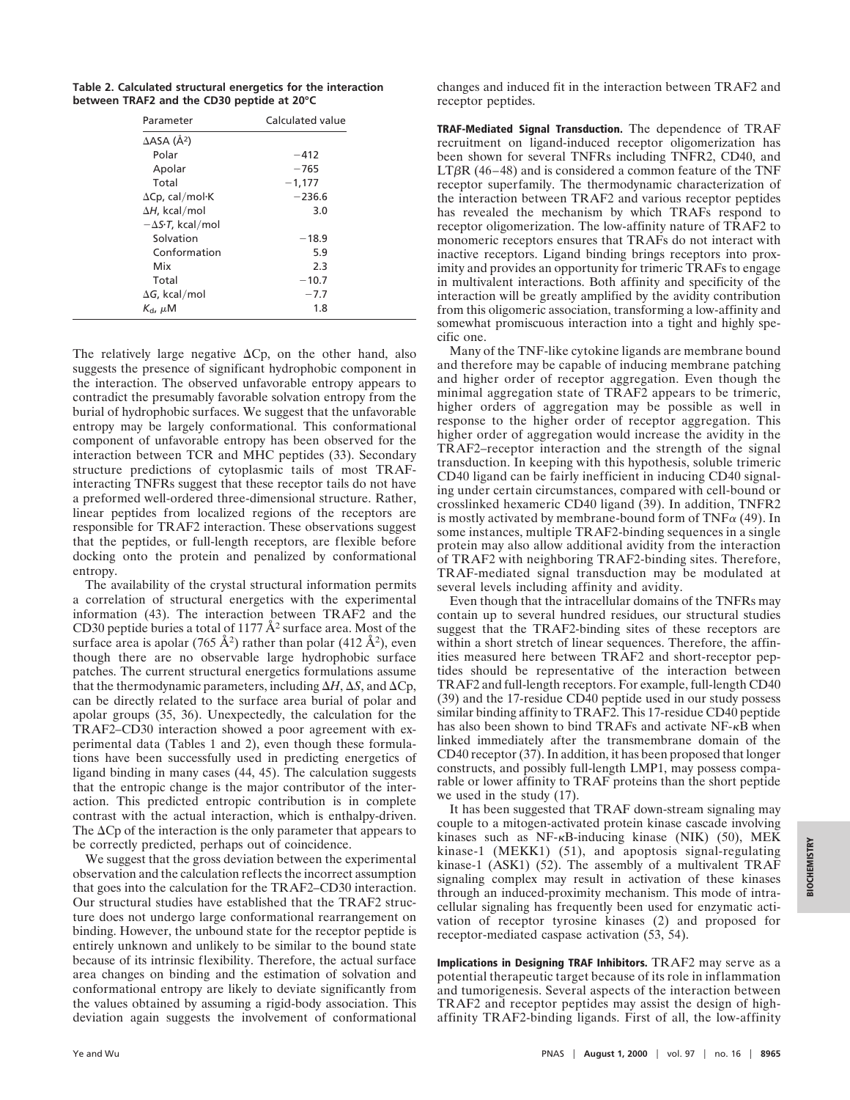**Table 2. Calculated structural energetics for the interaction between TRAF2 and the CD30 peptide at 20°C**

| Parameter                              | Calculated value |  |  |
|----------------------------------------|------------------|--|--|
| $\triangle$ ASA ( $\AA$ <sup>2</sup> ) |                  |  |  |
| Polar                                  | $-412$           |  |  |
| Apolar                                 | $-765$           |  |  |
| Total                                  | $-1,177$         |  |  |
| $\Delta$ Cp, cal/mol·K                 | $-236.6$         |  |  |
| $\Delta H$ , kcal/mol                  | 3.0              |  |  |
| $-\Delta S \cdot T$ , kcal/mol         |                  |  |  |
| Solvation                              | $-18.9$          |  |  |
| Conformation                           | 5.9              |  |  |
| Mix                                    | 2.3              |  |  |
| Total                                  | $-10.7$          |  |  |
| $\Delta G$ , kcal/mol                  | $-7.7$           |  |  |
| $K_{\rm d}$ , $\mu$ M                  | 1.8              |  |  |

The relatively large negative  $\Delta C$ p, on the other hand, also suggests the presence of significant hydrophobic component in the interaction. The observed unfavorable entropy appears to contradict the presumably favorable solvation entropy from the burial of hydrophobic surfaces. We suggest that the unfavorable entropy may be largely conformational. This conformational component of unfavorable entropy has been observed for the interaction between TCR and MHC peptides (33). Secondary structure predictions of cytoplasmic tails of most TRAFinteracting TNFRs suggest that these receptor tails do not have a preformed well-ordered three-dimensional structure. Rather, linear peptides from localized regions of the receptors are responsible for TRAF2 interaction. These observations suggest that the peptides, or full-length receptors, are flexible before docking onto the protein and penalized by conformational entropy.

The availability of the crystal structural information permits a correlation of structural energetics with the experimental information (43). The interaction between TRAF2 and the CD30 peptide buries a total of 1177  $A^2$  surface area. Most of the surface area is apolar (765 Å<sup>2</sup>) rather than polar (412 Å<sup>2</sup>), even though there are no observable large hydrophobic surface patches. The current structural energetics formulations assume that the thermodynamic parameters, including  $\Delta H$ ,  $\Delta S$ , and  $\Delta C$ p, can be directly related to the surface area burial of polar and apolar groups (35, 36). Unexpectedly, the calculation for the TRAF2–CD30 interaction showed a poor agreement with experimental data (Tables 1 and 2), even though these formulations have been successfully used in predicting energetics of ligand binding in many cases (44, 45). The calculation suggests that the entropic change is the major contributor of the interaction. This predicted entropic contribution is in complete contrast with the actual interaction, which is enthalpy-driven. The  $\Delta$ Cp of the interaction is the only parameter that appears to be correctly predicted, perhaps out of coincidence.

We suggest that the gross deviation between the experimental observation and the calculation reflects the incorrect assumption that goes into the calculation for the TRAF2–CD30 interaction. Our structural studies have established that the TRAF2 structure does not undergo large conformational rearrangement on binding. However, the unbound state for the receptor peptide is entirely unknown and unlikely to be similar to the bound state because of its intrinsic flexibility. Therefore, the actual surface area changes on binding and the estimation of solvation and conformational entropy are likely to deviate significantly from the values obtained by assuming a rigid-body association. This deviation again suggests the involvement of conformational

changes and induced fit in the interaction between TRAF2 and receptor peptides.

**TRAF-Mediated Signal Transduction.** The dependence of TRAF recruitment on ligand-induced receptor oligomerization has been shown for several TNFRs including TNFR2, CD40, and  $LT\beta R$  (46–48) and is considered a common feature of the TNF receptor superfamily. The thermodynamic characterization of the interaction between TRAF2 and various receptor peptides has revealed the mechanism by which TRAFs respond to receptor oligomerization. The low-affinity nature of TRAF2 to monomeric receptors ensures that TRAFs do not interact with inactive receptors. Ligand binding brings receptors into proximity and provides an opportunity for trimeric TRAFs to engage in multivalent interactions. Both affinity and specificity of the interaction will be greatly amplified by the avidity contribution from this oligomeric association, transforming a low-affinity and somewhat promiscuous interaction into a tight and highly specific one.

Many of the TNF-like cytokine ligands are membrane bound and therefore may be capable of inducing membrane patching and higher order of receptor aggregation. Even though the minimal aggregation state of TRAF2 appears to be trimeric, higher orders of aggregation may be possible as well in response to the higher order of receptor aggregation. This higher order of aggregation would increase the avidity in the TRAF2–receptor interaction and the strength of the signal transduction. In keeping with this hypothesis, soluble trimeric CD40 ligand can be fairly inefficient in inducing CD40 signaling under certain circumstances, compared with cell-bound or crosslinked hexameric CD40 ligand (39). In addition, TNFR2 is mostly activated by membrane-bound form of TNF $\alpha$  (49). In some instances, multiple TRAF2-binding sequences in a single protein may also allow additional avidity from the interaction of TRAF2 with neighboring TRAF2-binding sites. Therefore, TRAF-mediated signal transduction may be modulated at several levels including affinity and avidity.

Even though that the intracellular domains of the TNFRs may contain up to several hundred residues, our structural studies suggest that the TRAF2-binding sites of these receptors are within a short stretch of linear sequences. Therefore, the affinities measured here between TRAF2 and short-receptor peptides should be representative of the interaction between TRAF2 and full-length receptors. For example, full-length CD40 (39) and the 17-residue CD40 peptide used in our study possess similar binding affinity to TRAF2. This 17-residue CD40 peptide has also been shown to bind TRAFs and activate NF- $\kappa$ B when linked immediately after the transmembrane domain of the CD40 receptor (37). In addition, it has been proposed that longer constructs, and possibly full-length LMP1, may possess comparable or lower affinity to TRAF proteins than the short peptide we used in the study (17).

It has been suggested that TRAF down-stream signaling may couple to a mitogen-activated protein kinase cascade involving kinases such as  $NF-\kappa B$ -inducing kinase (NIK) (50), MEK kinase-1 (MEKK1) (51), and apoptosis signal-regulating kinase-1 (ASK1) (52). The assembly of a multivalent TRAF signaling complex may result in activation of these kinases through an induced-proximity mechanism. This mode of intracellular signaling has frequently been used for enzymatic activation of receptor tyrosine kinases (2) and proposed for receptor-mediated caspase activation (53, 54).

**Implications in Designing TRAF Inhibitors.** TRAF2 may serve as a potential therapeutic target because of its role in inflammation and tumorigenesis. Several aspects of the interaction between TRAF2 and receptor peptides may assist the design of highaffinity TRAF2-binding ligands. First of all, the low-affinity